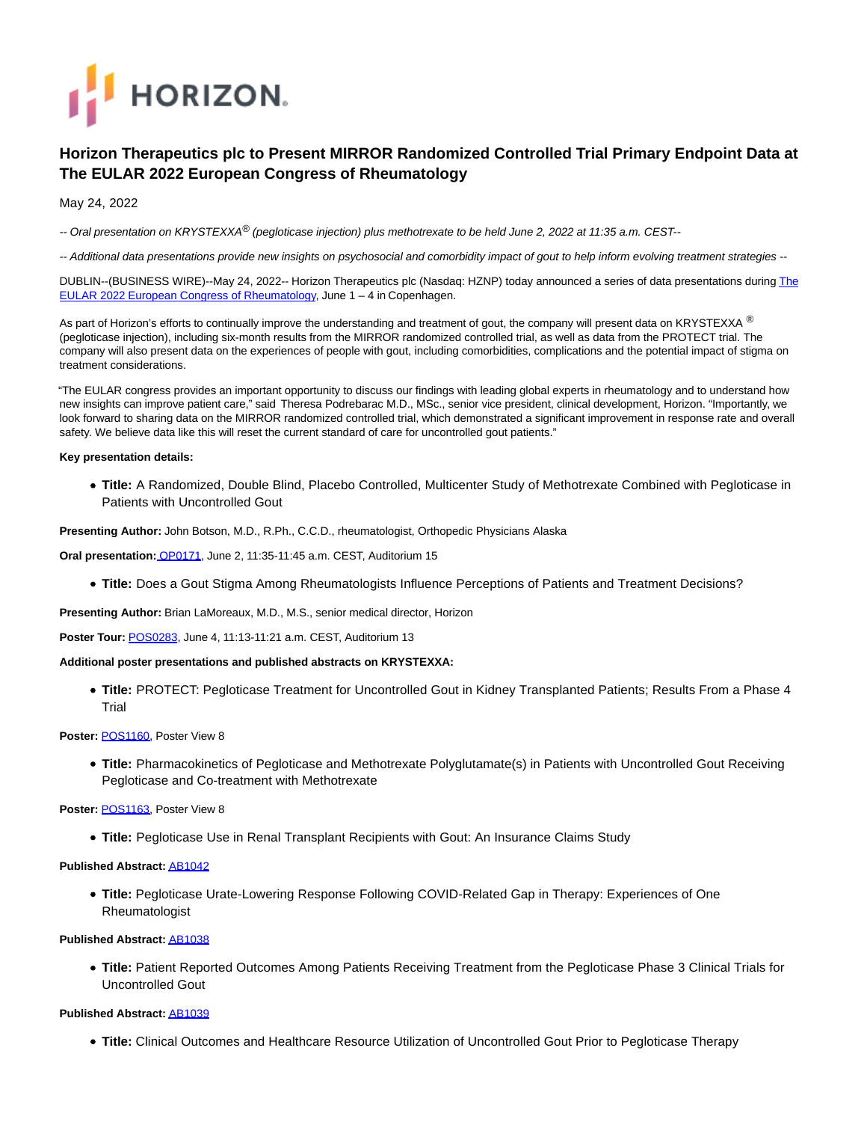

# **Horizon Therapeutics plc to Present MIRROR Randomized Controlled Trial Primary Endpoint Data at The EULAR 2022 European Congress of Rheumatology**

## May 24, 2022

-- Oral presentation on KRYSTEXXA<sup>®</sup> (pegloticase injection) plus methotrexate to be held June 2, 2022 at 11:35 a.m. CEST--

-- Additional data presentations provide new insights on psychosocial and comorbidity impact of gout to help inform evolving treatment strategies --

[DUBLIN--\(BUSINESS WIRE\)--May 24, 2022-- Horizon Therapeutics plc \(Nasdaq: HZNP\) today announced a series of data presentations during The](https://cts.businesswire.com/ct/CT?id=smartlink&url=https%3A%2F%2Fcongress.eular.org%2F&esheet=52728643&newsitemid=20220524005323&lan=en-US&anchor=The+EULAR+2022+European+Congress+of+Rheumatology&index=1&md5=89bb89acc4a5c5259a21f7d3e9f3426d) EULAR 2022 European Congress of Rheumatology, June 1 – 4 in Copenhagen.

As part of Horizon's efforts to continually improve the understanding and treatment of gout, the company will present data on KRYSTEXXA  $^{\circledR}$ (pegloticase injection), including six-month results from the MIRROR randomized controlled trial, as well as data from the PROTECT trial. The company will also present data on the experiences of people with gout, including comorbidities, complications and the potential impact of stigma on treatment considerations.

"The EULAR congress provides an important opportunity to discuss our findings with leading global experts in rheumatology and to understand how new insights can improve patient care," said Theresa Podrebarac M.D., MSc., senior vice president, clinical development, Horizon. "Importantly, we look forward to sharing data on the MIRROR randomized controlled trial, which demonstrated a significant improvement in response rate and overall safety. We believe data like this will reset the current standard of care for uncontrolled gout patients."

## **Key presentation details:**

**Title:** A Randomized, Double Blind, Placebo Controlled, Multicenter Study of Methotrexate Combined with Pegloticase in Patients with Uncontrolled Gout

**Presenting Author:** John Botson, M.D., R.Ph., C.C.D., rheumatologist, Orthopedic Physicians Alaska

**Oral presentation:** [OP0171,](https://cts.businesswire.com/ct/CT?id=smartlink&url=https%3A%2F%2Fscientific.sparx-ip.net%2Farchiveeular%2F%3Fview%3D1%26c%3Da%26searchfor%3D%2520OP0171%5C%26item%3D2022OP0171&esheet=52728643&newsitemid=20220524005323&lan=en-US&anchor=OP0171&index=2&md5=7e4e07fd5ac0fe4f58d9460e9b464e3d) June 2, 11:35-11:45 a.m. CEST, Auditorium 15

**Title:** Does a Gout Stigma Among Rheumatologists Influence Perceptions of Patients and Treatment Decisions?

**Presenting Author:** Brian LaMoreaux, M.D., M.S., senior medical director, Horizon

**Poster Tour:** [POS0283,](https://cts.businesswire.com/ct/CT?id=smartlink&url=https%3A%2F%2Fscientific.sparx-ip.net%2Farchiveeular%2F%3Fview%3D1%26searchfor%3DPOS0283%26c%3Da%26item%3D2022POS0283&esheet=52728643&newsitemid=20220524005323&lan=en-US&anchor=POS0283&index=3&md5=84dd1663b8a80cb141ce204c4f14879a) June 4, 11:13-11:21 a.m. CEST, Auditorium 13

# **Additional poster presentations and published abstracts on KRYSTEXXA:**

**Title:** PROTECT: Pegloticase Treatment for Uncontrolled Gout in Kidney Transplanted Patients; Results From a Phase 4 Trial

## **Poster:** [POS1160,](https://cts.businesswire.com/ct/CT?id=smartlink&url=https%3A%2F%2Fscientific.sparx-ip.net%2Farchiveeular%2F%3Fc%3Da%26view%3D1%26searchfor%3DPOS1160%26item%3D2022POS1160&esheet=52728643&newsitemid=20220524005323&lan=en-US&anchor=POS1160&index=4&md5=b568d6909d15e83279a03cb1b738c1c0) Poster View 8

**Title:** Pharmacokinetics of Pegloticase and Methotrexate Polyglutamate(s) in Patients with Uncontrolled Gout Receiving Pegloticase and Co-treatment with Methotrexate

## Poster: [POS1163,](https://cts.businesswire.com/ct/CT?id=smartlink&url=https%3A%2F%2Fscientific.sparx-ip.net%2Farchiveeular%2F%3Fc%3Da%26view%3D1%26searchfor%3DPOS1163%26item%3D2022POS1163&esheet=52728643&newsitemid=20220524005323&lan=en-US&anchor=POS1163&index=5&md5=0485e65d192caf95ae93e10ba87c1421) Poster View 8

**Title:** Pegloticase Use in Renal Transplant Recipients with Gout: An Insurance Claims Study

## **Published Abstract:** [AB1042](https://cts.businesswire.com/ct/CT?id=smartlink&url=https%3A%2F%2Fscientific.sparx-ip.net%2Farchiveeular%2F%3Fview%3D1%26searchfor%3DAB1042%26c%3Da%26item%3D2022AB1042&esheet=52728643&newsitemid=20220524005323&lan=en-US&anchor=AB1042&index=6&md5=482c45b8c3e3f3bd4406615045a506b1)

**Title:** Pegloticase Urate-Lowering Response Following COVID-Related Gap in Therapy: Experiences of One Rheumatologist

# **Published Abstract:** [AB1038](https://cts.businesswire.com/ct/CT?id=smartlink&url=https%3A%2F%2Fscientific.sparx-ip.net%2Farchiveeular%2F%3Fc%3Da%26searchfor%3DAB1038%26view%3D1%26item%3D2022AB1038&esheet=52728643&newsitemid=20220524005323&lan=en-US&anchor=AB1038&index=7&md5=0ae47fccd517debcf7b47d8b8020ed91)

**Title:** Patient Reported Outcomes Among Patients Receiving Treatment from the Pegloticase Phase 3 Clinical Trials for Uncontrolled Gout

# **Published Abstract:** [AB1039](https://cts.businesswire.com/ct/CT?id=smartlink&url=https%3A%2F%2Fscientific.sparx-ip.net%2Farchiveeular%2F%3Fc%3Da%26view%3D1%26searchfor%3DAB1039%26item%3D2022AB1039&esheet=52728643&newsitemid=20220524005323&lan=en-US&anchor=AB1039&index=8&md5=145291628b486294e45a6151e5cf5970)

**Title:** Clinical Outcomes and Healthcare Resource Utilization of Uncontrolled Gout Prior to Pegloticase Therapy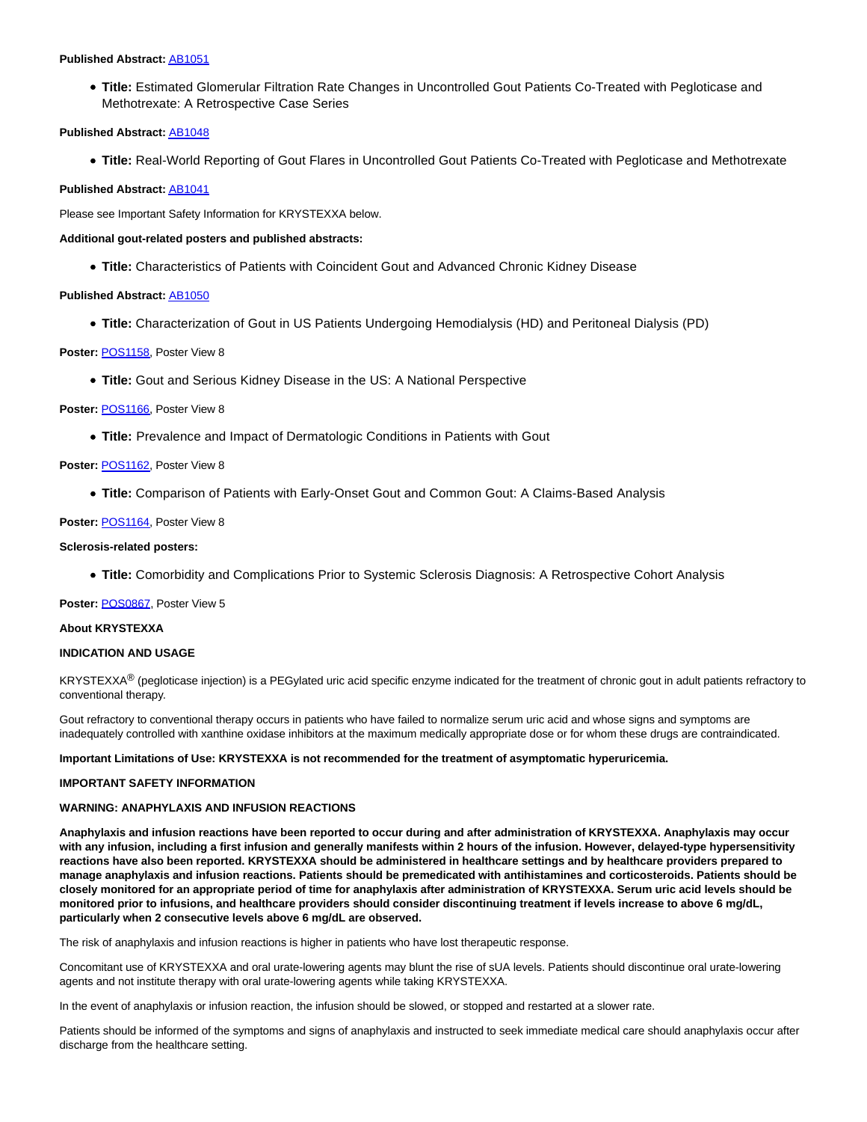#### **Published Abstract:** [AB1051](https://cts.businesswire.com/ct/CT?id=smartlink&url=https%3A%2F%2Fscientific.sparx-ip.net%2Farchiveeular%2F%3Fsearchfor%3DAB1051%26view%3D1%26c%3Da%26item%3D2022AB1051&esheet=52728643&newsitemid=20220524005323&lan=en-US&anchor=AB1051&index=9&md5=637004169abc512530245d7c16407cfc)

**Title:** Estimated Glomerular Filtration Rate Changes in Uncontrolled Gout Patients Co-Treated with Pegloticase and Methotrexate: A Retrospective Case Series

## **Published Abstract:** [AB1048](https://cts.businesswire.com/ct/CT?id=smartlink&url=https%3A%2F%2Fscientific.sparx-ip.net%2Farchiveeular%2F%3Fc%3Da%26searchfor%3DAB1048%26view%3D1%26item%3D2022AB1048&esheet=52728643&newsitemid=20220524005323&lan=en-US&anchor=AB1048&index=10&md5=3be4e72012fb66b5733a02a62390d04b)

**Title:** Real-World Reporting of Gout Flares in Uncontrolled Gout Patients Co-Treated with Pegloticase and Methotrexate

#### **Published Abstract:** [AB1041](https://cts.businesswire.com/ct/CT?id=smartlink&url=https%3A%2F%2Fscientific.sparx-ip.net%2Farchiveeular%2F%3Fsearchfor%3DAB1041%26view%3D1%26c%3Da%26item%3D2022AB1041&esheet=52728643&newsitemid=20220524005323&lan=en-US&anchor=AB1041&index=11&md5=3c0fe30e1747409ef17942dba0506e35)

Please see Important Safety Information for KRYSTEXXA below.

## **Additional gout-related posters and published abstracts:**

**Title:** Characteristics of Patients with Coincident Gout and Advanced Chronic Kidney Disease

## **Published Abstract:** [AB1050](https://cts.businesswire.com/ct/CT?id=smartlink&url=https%3A%2F%2Fscientific.sparx-ip.net%2Farchiveeular%2F%3Fsearchfor%3DAB1050%26view%3D1%26c%3Da%26item%3D2022AB1050&esheet=52728643&newsitemid=20220524005323&lan=en-US&anchor=AB1050&index=12&md5=2bd5f88fa8f2723e4f3aa7ad3628a030)

**Title:** Characterization of Gout in US Patients Undergoing Hemodialysis (HD) and Peritoneal Dialysis (PD)

## **Poster:** [POS1158,](https://cts.businesswire.com/ct/CT?id=smartlink&url=https%3A%2F%2Fscientific.sparx-ip.net%2Farchiveeular%2F%3Fc%3Da%26searchfor%3DPOS1158%26view%3D1%26item%3D2022POS1158&esheet=52728643&newsitemid=20220524005323&lan=en-US&anchor=POS1158&index=13&md5=9a041536f97d717516a4b77f4284724f) Poster View 8

**Title:** Gout and Serious Kidney Disease in the US: A National Perspective

## Poster: POS<sub>1166</sub>, Poster View 8

**Title:** Prevalence and Impact of Dermatologic Conditions in Patients with Gout

# Poster: POS<sub>1162</sub>, Poster View 8

**Title:** Comparison of Patients with Early-Onset Gout and Common Gout: A Claims-Based Analysis

## Poster: POS<sub>1164</sub>, Poster View 8

## **Sclerosis-related posters:**

**Title:** Comorbidity and Complications Prior to Systemic Sclerosis Diagnosis: A Retrospective Cohort Analysis

Poster: [POS0867,](https://cts.businesswire.com/ct/CT?id=smartlink&url=https%3A%2F%2Fscientific.sparx-ip.net%2Farchiveeular%2F%3Fsearchfor%3DPOS0867%26c%3Da%26view%3D1%26item%3D2022POS0867&esheet=52728643&newsitemid=20220524005323&lan=en-US&anchor=POS0867&index=17&md5=873505f9636e72ff18451c6621284da1) Poster View 5

#### **About KRYSTEXXA**

## **INDICATION AND USAGE**

 $KRYSTEXXA^@$  (pegloticase injection) is a PEGylated uric acid specific enzyme indicated for the treatment of chronic gout in adult patients refractory to conventional therapy.

Gout refractory to conventional therapy occurs in patients who have failed to normalize serum uric acid and whose signs and symptoms are inadequately controlled with xanthine oxidase inhibitors at the maximum medically appropriate dose or for whom these drugs are contraindicated.

**Important Limitations of Use: KRYSTEXXA is not recommended for the treatment of asymptomatic hyperuricemia.**

## **IMPORTANT SAFETY INFORMATION**

#### **WARNING: ANAPHYLAXIS AND INFUSION REACTIONS**

**Anaphylaxis and infusion reactions have been reported to occur during and after administration of KRYSTEXXA. Anaphylaxis may occur with any infusion, including a first infusion and generally manifests within 2 hours of the infusion. However, delayed-type hypersensitivity reactions have also been reported. KRYSTEXXA should be administered in healthcare settings and by healthcare providers prepared to manage anaphylaxis and infusion reactions. Patients should be premedicated with antihistamines and corticosteroids. Patients should be closely monitored for an appropriate period of time for anaphylaxis after administration of KRYSTEXXA. Serum uric acid levels should be monitored prior to infusions, and healthcare providers should consider discontinuing treatment if levels increase to above 6 mg/dL, particularly when 2 consecutive levels above 6 mg/dL are observed.**

The risk of anaphylaxis and infusion reactions is higher in patients who have lost therapeutic response.

Concomitant use of KRYSTEXXA and oral urate-lowering agents may blunt the rise of sUA levels. Patients should discontinue oral urate-lowering agents and not institute therapy with oral urate-lowering agents while taking KRYSTEXXA.

In the event of anaphylaxis or infusion reaction, the infusion should be slowed, or stopped and restarted at a slower rate.

Patients should be informed of the symptoms and signs of anaphylaxis and instructed to seek immediate medical care should anaphylaxis occur after discharge from the healthcare setting.